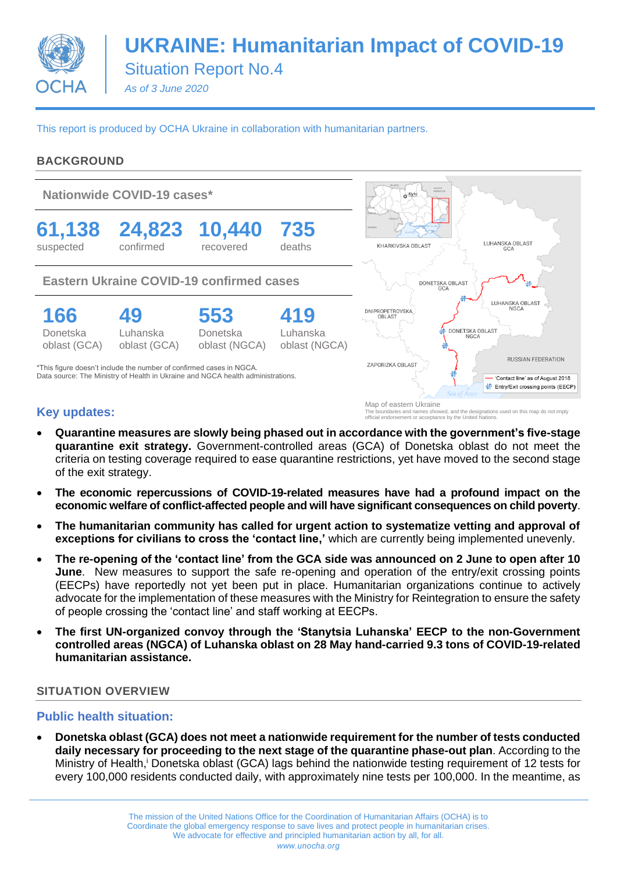

# **UKRAINE: Humanitarian Impact of COVID-19** Situation Report No.4

*As of 3 June 2020*

This report is produced by OCHA Ukraine in collaboration with humanitarian partners.

### **BACKGROUND**



# **Key updates:**

• **Quarantine measures are slowly being phased out in accordance with the government's five-stage quarantine exit strategy.** Government-controlled areas (GCA) of Donetska oblast do not meet the criteria on testing coverage required to ease quarantine restrictions, yet have moved to the second stage of the exit strategy.

The boundaries and names showed, and the designations used on this map do not imply official endorsement or acceptance by the United Nations of ance by the United Nations.

- **The economic repercussions of COVID-19-related measures have had a profound impact on the economic welfare of conflict-affected people and will have significant consequences on child poverty**.
- **[The humanitarian community has called for urgent action to systematize vetting and approval of](https://www.humanitarianresponse.info/en/operations/ukraine/document/ukraine-un-humanitarian-coordinator-ukraine-osnat-lubrani-calls-urgent)  [exceptions for civilians to cross the 'contact line,](https://www.humanitarianresponse.info/en/operations/ukraine/document/ukraine-un-humanitarian-coordinator-ukraine-osnat-lubrani-calls-urgent)'** which are currently being implemented unevenly.
- **The re-opening of the 'contact line' from the GCA side was announced on 2 June to open after 10 June**. New measures to support the safe re-opening and operation of the entry/exit crossing points (EECPs) have reportedly not yet been put in place. Humanitarian organizations continue to actively advocate for the implementation of these measures with the Ministry for Reintegration to ensure the safety of people crossing the 'contact line' and staff working at EECPs.
- **The first UN-organized convoy through the 'Stanytsia Luhanska' EECP to the non-Government controlled areas (NGCA) of Luhanska oblast on 28 May hand-carried 9.3 tons of COVID-19-related humanitarian assistance.**

# **SITUATION OVERVIEW**

#### **Public health situation:**

• **Donetska oblast (GCA) does not meet a nationwide requirement for the number of tests conducted daily necessary for proceeding to the next stage of the quarantine phase-out plan**. According to the Ministry of Health,<sup>i</sup> Donetska oblast (GCA) lags behind the nationwide testing requirement of 12 tests for every 100,000 residents conducted daily, with approximately nine tests per 100,000. In the meantime, as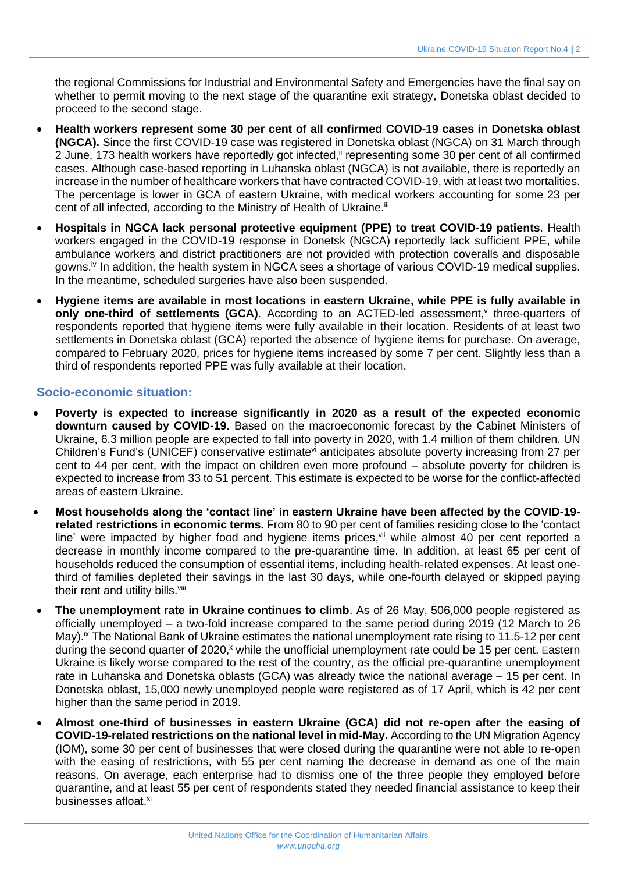the regional Commissions for Industrial and Environmental Safety and Emergencies have the final say on whether to permit moving to the next stage of the quarantine exit strategy, Donetska oblast decided to proceed to the second stage.

- **Health workers represent some 30 per cent of all confirmed COVID-19 cases in Donetska oblast (NGCA).** Since the first COVID-19 case was registered in Donetska oblast (NGCA) on 31 March through 2 June, 173 health workers have reportedly got infected,<sup>ii</sup> representing some 30 per cent of all confirmed cases. Although case-based reporting in Luhanska oblast (NGCA) is not available, there is reportedly an increase in the number of healthcare workers that have contracted COVID-19, with at least two mortalities. The percentage is lower in GCA of eastern Ukraine, with medical workers accounting for some 23 per cent of all infected, according to the Ministry of Health of Ukraine.<sup>iii</sup>
- **Hospitals in NGCA lack personal protective equipment (PPE) to treat COVID-19 patients**. Health workers engaged in the COVID-19 response in Donetsk (NGCA) reportedly lack sufficient PPE, while ambulance workers and district practitioners are not provided with protection coveralls and disposable gowns.<sup>iv</sup> In addition, the health system in NGCA sees a shortage of various COVID-19 medical supplies. In the meantime, scheduled surgeries have also been suspended.
- **Hygiene items are available in most locations in eastern Ukraine, while PPE is fully available in**  only one-third of settlements (GCA). According to an ACTED-led assessment,<sup>v</sup> three-quarters of respondents reported that hygiene items were fully available in their location. Residents of at least two settlements in Donetska oblast (GCA) reported the absence of hygiene items for purchase. On average, compared to February 2020, prices for hygiene items increased by some 7 per cent. Slightly less than a third of respondents reported PPE was fully available at their location.

#### **Socio-economic situation:**

- **Poverty is expected to increase significantly in 2020 as a result of the expected economic downturn caused by COVID-19**. Based on the macroeconomic forecast by the Cabinet Ministers of Ukraine, 6.3 million people are expected to fall into poverty in 2020, with 1.4 million of them children. UN Children's Fund's (UNICEF) conservative estimate<sup>vi</sup> anticipates absolute poverty increasing from 27 per cent to 44 per cent, with the impact on children even more profound – absolute poverty for children is expected to increase from 33 to 51 percent. This estimate is expected to be worse for the conflict-affected areas of eastern Ukraine.
- **Most households along the 'contact line' in eastern Ukraine have been affected by the COVID-19 related restrictions in economic terms.** From 80 to 90 per cent of families residing close to the 'contact line' were impacted by higher food and hygiene items prices, vii while almost 40 per cent reported a decrease in monthly income compared to the pre-quarantine time. In addition, at least 65 per cent of households reduced the consumption of essential items, including health-related expenses. At least onethird of families depleted their savings in the last 30 days, while one-fourth delayed or skipped paying their rent and utility bills.<sup>viii</sup>
- **The unemployment rate in Ukraine continues to climb**. As of 26 May, 506,000 people registered as officially unemployed – a two-fold increase compared to the same period during 2019 (12 March to 26 May).<sup>ix</sup> The National Bank of Ukraine estimates the national unemployment rate rising to 11.5-12 per cent during the second quarter of 2020,<sup>x</sup> while the unofficial unemployment rate could be 15 per cent. Eastern Ukraine is likely worse compared to the rest of the country, as the official pre-quarantine unemployment rate in Luhanska and Donetska oblasts (GCA) was already twice the national average – 15 per cent. In Donetska oblast, 15,000 newly unemployed people were registered as of 17 April, which is 42 per cent higher than the same period in 2019.
- **Almost one-third of businesses in eastern Ukraine (GCA) did not re-open after the easing of COVID-19-related restrictions on the national level in mid-May.** According to the UN Migration Agency (IOM), some 30 per cent of businesses that were closed during the quarantine were not able to re-open with the easing of restrictions, with 55 per cent naming the decrease in demand as one of the main reasons. On average, each enterprise had to dismiss one of the three people they employed before quarantine, and at least 55 per cent of respondents stated they needed financial assistance to keep their businesses afloat. xi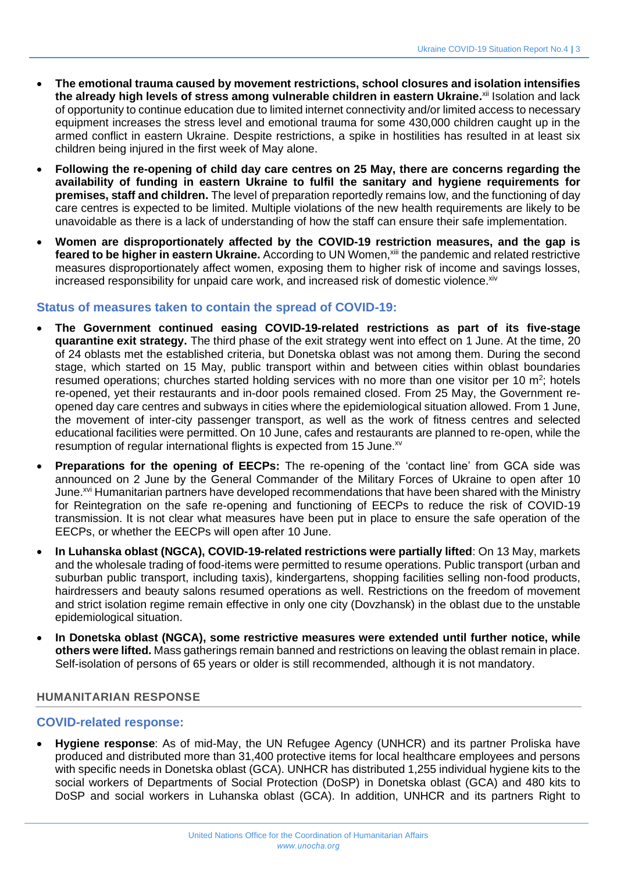- **The emotional trauma caused by movement restrictions, school closures and isolation intensifies**  the already high levels of stress among vulnerable children in eastern Ukraine.<sup>xii</sup> Isolation and lack of opportunity to continue education due to limited internet connectivity and/or limited access to necessary equipment increases the stress level and emotional trauma for some 430,000 children caught up in the armed conflict in eastern Ukraine. Despite restrictions, a spike in hostilities has resulted in at least six children being injured in the first week of May alone.
- **Following the re-opening of child day care centres on 25 May, there are concerns regarding the availability of funding in eastern Ukraine to fulfil the sanitary and hygiene requirements for premises, staff and children.** The level of preparation reportedly remains low, and the functioning of day care centres is expected to be limited. Multiple violations of the new health requirements are likely to be unavoidable as there is a lack of understanding of how the staff can ensure their safe implementation.
- **Women are disproportionately affected by the COVID-19 restriction measures, and the gap is**  feared to be higher in eastern Ukraine. According to UN Women,<sup>xiii</sup> the pandemic and related restrictive measures disproportionately affect women, exposing them to higher risk of income and savings losses, increased responsibility for unpaid care work, and increased risk of domestic violence.<sup>xiv</sup>

#### **Status of measures taken to contain the spread of COVID-19:**

- **The Government continued easing COVID-19-related restrictions as part of its five-stage quarantine exit strategy.** The third phase of the exit strategy went into effect on 1 June. At the time, 20 of 24 oblasts met the established criteria, but Donetska oblast was not among them. During the second stage, which started on 15 May, public transport within and between cities within oblast boundaries resumed operations; churches started holding services with no more than one visitor per 10 m<sup>2</sup>; hotels re-opened, yet their restaurants and in-door pools remained closed. From 25 May, the Government reopened day care centres and subways in cities where the epidemiological situation allowed. From 1 June, the movement of inter-city passenger transport, as well as the work of fitness centres and selected educational facilities were permitted. On 10 June, cafes and restaurants are planned to re-open, while the resumption of regular international flights is expected from 15 June.<sup>xv</sup>
- **Preparations for the opening of EECPs:** The re-opening of the 'contact line' from GCA side was announced on 2 June by the General Commander of the Military Forces of Ukraine to open after 10 June.<sup>xvi</sup> Humanitarian partners have developed recommendations that have been shared with the Ministry for Reintegration on the safe re-opening and functioning of EECPs to reduce the risk of COVID-19 transmission. It is not clear what measures have been put in place to ensure the safe operation of the EECPs, or whether the EECPs will open after 10 June.
- **In Luhanska oblast (NGCA), COVID-19-related restrictions were partially lifted**: On 13 May, markets and the wholesale trading of food-items were permitted to resume operations. Public transport (urban and suburban public transport, including taxis), kindergartens, shopping facilities selling non-food products, hairdressers and beauty salons resumed operations as well. Restrictions on the freedom of movement and strict isolation regime remain effective in only one city (Dovzhansk) in the oblast due to the unstable epidemiological situation.
- **In Donetska oblast (NGCA), some restrictive measures were extended until further notice, while others were lifted.** Mass gatherings remain banned and restrictions on leaving the oblast remain in place. Self-isolation of persons of 65 years or older is still recommended, although it is not mandatory.

#### **HUMANITARIAN RESPONSE**

#### **COVID-related response:**

• **Hygiene response**: As of mid-May, the UN Refugee Agency (UNHCR) and its partner Proliska have produced and distributed more than 31,400 protective items for local healthcare employees and persons with specific needs in Donetska oblast (GCA). UNHCR has distributed 1,255 individual hygiene kits to the social workers of Departments of Social Protection (DoSP) in Donetska oblast (GCA) and 480 kits to DoSP and social workers in Luhanska oblast (GCA). In addition, UNHCR and its partners Right to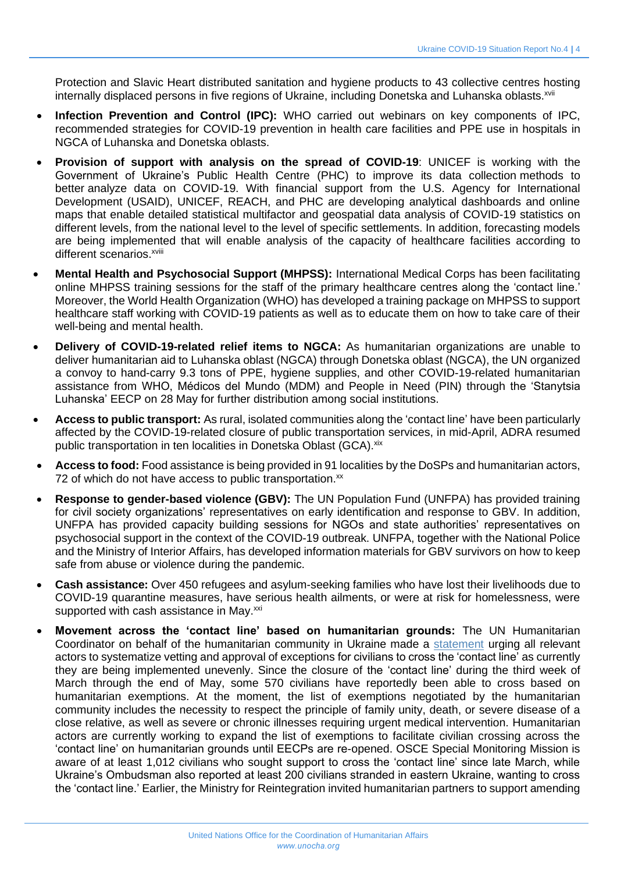Protection and Slavic Heart distributed sanitation and hygiene products to 43 collective centres hosting internally displaced persons in five regions of Ukraine, including Donetska and Luhanska oblasts.<sup>xvii</sup>

- **Infection Prevention and Control (IPC):** WHO carried out webinars on key components of IPC, recommended strategies for COVID-19 prevention in health care facilities and PPE use in hospitals in NGCA of Luhanska and Donetska oblasts.
- **Provision of support with analysis on the spread of COVID-19**: UNICEF is working with the Government of Ukraine's Public Health Centre (PHC) to improve its data collection methods to better analyze data on COVID-19. With financial support from the U.S. Agency for International Development (USAID), UNICEF, REACH, and PHC are developing analytical dashboards and online maps that enable detailed statistical multifactor and geospatial data analysis of COVID-19 statistics on different levels, from the national level to the level of specific settlements. In addition, forecasting models are being implemented that will enable analysis of the capacity of healthcare facilities according to different scenarios.<sup>xviii</sup>
- **Mental Health and Psychosocial Support (MHPSS):** International Medical Corps has been facilitating online MHPSS training sessions for the staff of the primary healthcare centres along the 'contact line.' Moreover, the World Health Organization (WHO) has developed a training package on MHPSS to support healthcare staff working with COVID-19 patients as well as to educate them on how to take care of their well-being and mental health.
- **Delivery of COVID-19-related relief items to NGCA:** As humanitarian organizations are unable to deliver humanitarian aid to Luhanska oblast (NGCA) through Donetska oblast (NGCA), the UN organized a convoy to hand-carry 9.3 tons of PPE, hygiene supplies, and other COVID-19-related humanitarian assistance from WHO, Médicos del Mundo (MDM) and People in Need (PIN) through the 'Stanytsia Luhanska' EECP on 28 May for further distribution among social institutions.
- **Access to public transport:** As rural, isolated communities along the 'contact line' have been particularly affected by the COVID-19-related closure of public transportation services, in mid-April, ADRA resumed public transportation in ten localities in Donetska Oblast (GCA). xix
- **Access to food:** Food assistance is being provided in 91 localities by the DoSPs and humanitarian actors, 72 of which do not have access to public transportation.<sup>xx</sup>
- **Response to gender-based violence (GBV):** The UN Population Fund (UNFPA) has provided training for civil society organizations' representatives on early identification and response to GBV. In addition, UNFPA has provided capacity building sessions for NGOs and state authorities' representatives on psychosocial support in the context of the COVID-19 outbreak. UNFPA, together with the National Police and the Ministry of Interior Affairs, has developed information materials for GBV survivors on how to keep safe from abuse or violence during the pandemic.
- **Cash assistance:** Over 450 refugees and asylum-seeking families who have lost their livelihoods due to COVID-19 quarantine measures, have serious health ailments, or were at risk for homelessness, were supported with cash assistance in May.<sup>xxi</sup>
- **Movement across the 'contact line' based on humanitarian grounds:** The UN Humanitarian Coordinator on behalf of the humanitarian community in Ukraine made a [statement](https://www.humanitarianresponse.info/en/operations/ukraine/document/ukraine-un-humanitarian-coordinator-ukraine-osnat-lubrani-calls-urgent) urging all relevant actors to systematize vetting and approval of exceptions for civilians to cross the 'contact line' as currently they are being implemented unevenly. Since the closure of the 'contact line' during the third week of March through the end of May, some 570 civilians have reportedly been able to cross based on humanitarian exemptions. At the moment, the list of exemptions negotiated by the humanitarian community includes the necessity to respect the principle of family unity, death, or severe disease of a close relative, as well as severe or chronic illnesses requiring urgent medical intervention. Humanitarian actors are currently working to expand the list of exemptions to facilitate civilian crossing across the 'contact line' on humanitarian grounds until EECPs are re-opened. OSCE Special Monitoring Mission is aware of at least 1,012 civilians who sought support to cross the 'contact line' since late March, while Ukraine's Ombudsman also reported at least 200 civilians stranded in eastern Ukraine, wanting to cross the 'contact line.' Earlier, the Ministry for Reintegration invited humanitarian partners to support amending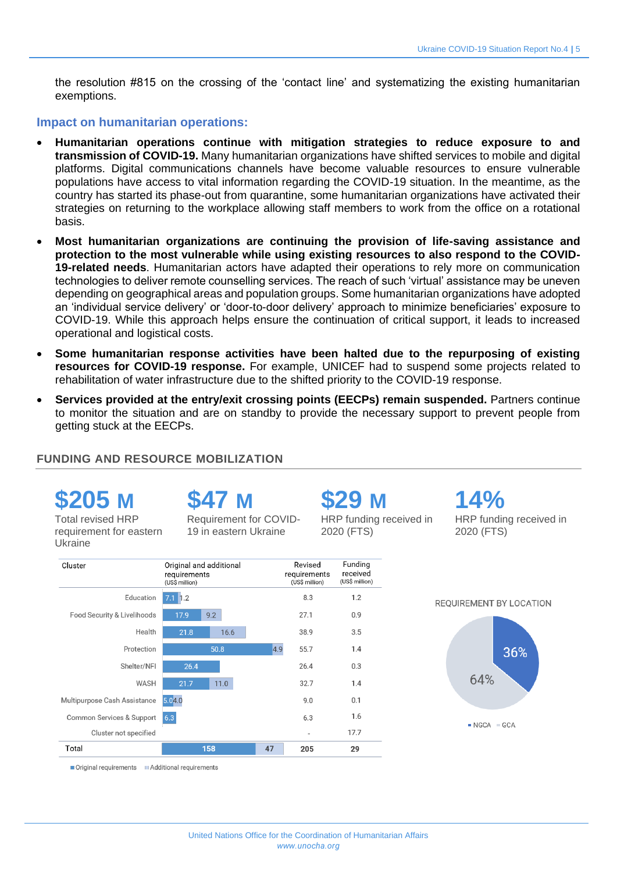the resolution #815 on the crossing of the 'contact line' and systematizing the existing humanitarian exemptions.

#### **Impact on humanitarian operations:**

- **Humanitarian operations continue with mitigation strategies to reduce exposure to and transmission of COVID-19.** Many humanitarian organizations have shifted services to mobile and digital platforms. Digital communications channels have become valuable resources to ensure vulnerable populations have access to vital information regarding the COVID-19 situation. In the meantime, as the country has started its phase-out from quarantine, some humanitarian organizations have activated their strategies on returning to the workplace allowing staff members to work from the office on a rotational basis.
- **Most humanitarian organizations are continuing the provision of life-saving assistance and protection to the most vulnerable while using existing resources to also respond to the COVID-19-related needs**. Humanitarian actors have adapted their operations to rely more on communication technologies to deliver remote counselling services. The reach of such 'virtual' assistance may be uneven depending on geographical areas and population groups. Some humanitarian organizations have adopted an 'individual service delivery' or 'door-to-door delivery' approach to minimize beneficiaries' exposure to COVID-19. While this approach helps ensure the continuation of critical support, it leads to increased operational and logistical costs.
- **Some humanitarian response activities have been halted due to the repurposing of existing resources for COVID-19 response.** For example, UNICEF had to suspend some projects related to rehabilitation of water infrastructure due to the shifted priority to the COVID-19 response.
- **Services provided at the entry/exit crossing points (EECPs) remain suspended.** Partners continue to monitor the situation and are on standby to provide the necessary support to prevent people from getting stuck at the EECPs.

#### **FUNDING AND RESOURCE MOBILIZATION**

# **\$205 M**

Total revised HRP requirement for eastern Ukraine

**\$47 M** Requirement for COVID-

19 in eastern Ukraine



2020 (FTS)

**14%**

HRP funding received in 2020 (FTS)

| Cluster                      | Original and additional<br>requirements<br>(US\$ million) |      |     | Revised<br>requirements<br>(US\$ million) | Funding<br>received<br>(US\$ million) |
|------------------------------|-----------------------------------------------------------|------|-----|-------------------------------------------|---------------------------------------|
| Education                    | $7.1$ 1.2                                                 |      |     | 8.3                                       | 1.2                                   |
| Food Security & Livelihoods  | 17.9                                                      | 9.2  |     | 27.1                                      | 0.9                                   |
| Health                       | 21.8                                                      | 16.6 |     | 38.9                                      | 3.5                                   |
| Protection                   |                                                           | 50.8 | 4.9 | 55.7                                      | 1.4                                   |
| Shelter/NFI                  | 26.4                                                      |      |     | 26.4                                      | 0.3                                   |
| WASH                         | 21.7                                                      | 11.0 |     | 32.7                                      | 1.4                                   |
| Multipurpose Cash Assistance | 5.04.0                                                    |      |     | 9.0                                       | 0.1                                   |
| Common Services & Support    | 6.3                                                       |      |     | 6.3                                       | 1.6                                   |
| Cluster not specified        |                                                           |      |     |                                           | 17.7                                  |
| Total                        | 158                                                       |      | 47  | 205                                       | 29                                    |



Original requirements Additional requirements